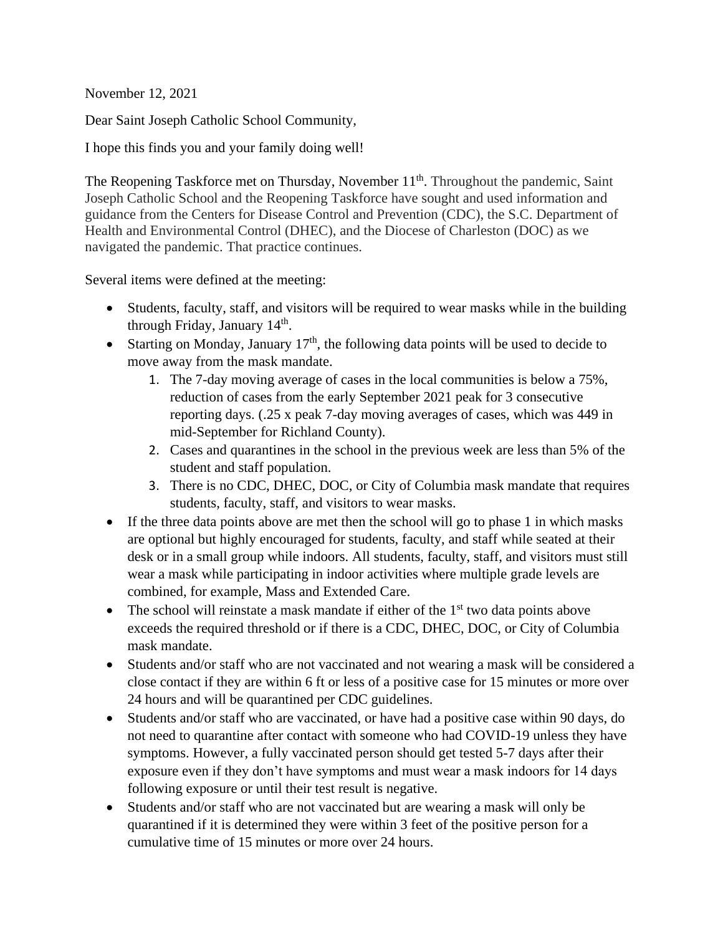November 12, 2021

Dear Saint Joseph Catholic School Community,

I hope this finds you and your family doing well!

The Reopening Taskforce met on Thursday, November 11<sup>th</sup>. Throughout the pandemic, Saint Joseph Catholic School and the Reopening Taskforce have sought and used information and guidance from the Centers for Disease Control and Prevention (CDC), the S.C. Department of Health and Environmental Control (DHEC), and the Diocese of Charleston (DOC) as we navigated the pandemic. That practice continues.

Several items were defined at the meeting:

- Students, faculty, staff, and visitors will be required to wear masks while in the building through Friday, January 14<sup>th</sup>.
- Starting on Monday, January  $17<sup>th</sup>$ , the following data points will be used to decide to move away from the mask mandate.
	- 1. The 7-day moving average of cases in the local communities is below a 75%, reduction of cases from the early September 2021 peak for 3 consecutive reporting days. (.25 x peak 7-day moving averages of cases, which was 449 in mid-September for Richland County).
	- 2. Cases and quarantines in the school in the previous week are less than 5% of the student and staff population.
	- 3. There is no CDC, DHEC, DOC, or City of Columbia mask mandate that requires students, faculty, staff, and visitors to wear masks.
- If the three data points above are met then the school will go to phase 1 in which masks are optional but highly encouraged for students, faculty, and staff while seated at their desk or in a small group while indoors. All students, faculty, staff, and visitors must still wear a mask while participating in indoor activities where multiple grade levels are combined, for example, Mass and Extended Care.
- The school will reinstate a mask mandate if either of the  $1<sup>st</sup>$  two data points above exceeds the required threshold or if there is a CDC, DHEC, DOC, or City of Columbia mask mandate.
- Students and/or staff who are not vaccinated and not wearing a mask will be considered a close contact if they are within 6 ft or less of a positive case for 15 minutes or more over 24 hours and will be quarantined per CDC guidelines.
- Students and/or staff who are vaccinated, or have had a positive case within 90 days, do not need to quarantine after contact with someone who had COVID-19 unless they have symptoms. However, a fully vaccinated person should get tested 5-7 days after their exposure even if they don't have symptoms and must wear a mask indoors for 14 days following exposure or until their test result is negative.
- Students and/or staff who are not vaccinated but are wearing a mask will only be quarantined if it is determined they were within 3 feet of the positive person for a cumulative time of 15 minutes or more over 24 hours.